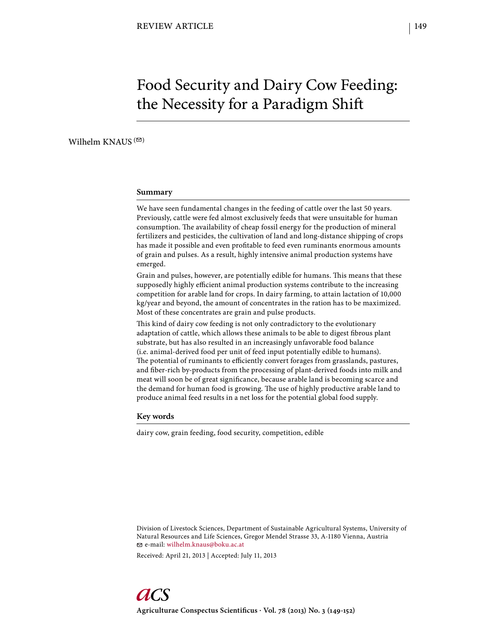# Food Security and Dairy Cow Feeding: the Necessity for a Paradigm Shift

Wilhelm KNAUS  $($ <sup> $\odot$ </sup>)

#### **Summary**

We have seen fundamental changes in the feeding of cattle over the last 50 years. Previously, cattle were fed almost exclusively feeds that were unsuitable for human consumption. The availability of cheap fossil energy for the production of mineral fertilizers and pesticides, the cultivation of land and long-distance shipping of crops has made it possible and even profitable to feed even ruminants enormous amounts of grain and pulses. As a result, highly intensive animal production systems have emerged.

Grain and pulses, however, are potentially edible for humans. This means that these supposedly highly efficient animal production systems contribute to the increasing competition for arable land for crops. In dairy farming, to attain lactation of 10,000 kg/year and beyond, the amount of concentrates in the ration has to be maximized. Most of these concentrates are grain and pulse products.

This kind of dairy cow feeding is not only contradictory to the evolutionary adaptation of cattle, which allows these animals to be able to digest fibrous plant substrate, but has also resulted in an increasingly unfavorable food balance (i.e. animal-derived food per unit of feed input potentially edible to humans). The potential of ruminants to efficiently convert forages from grasslands, pastures, and fiber-rich by-products from the processing of plant-derived foods into milk and meat will soon be of great significance, because arable land is becoming scarce and the demand for human food is growing. The use of highly productive arable land to produce animal feed results in a net loss for the potential global food supply.

#### **Key words**

dairy cow, grain feeding, food security, competition, edible

Division of Livestock Sciences, Department of Sustainable Agricultural Systems, University of Natural Resources and Life Sciences, Gregor Mendel Strasse 33, A-1180 Vienna, Austria e-mail: wilhelm.knaus@boku.ac.at

Received: April 21, 2013 | Accepted: July 11, 2013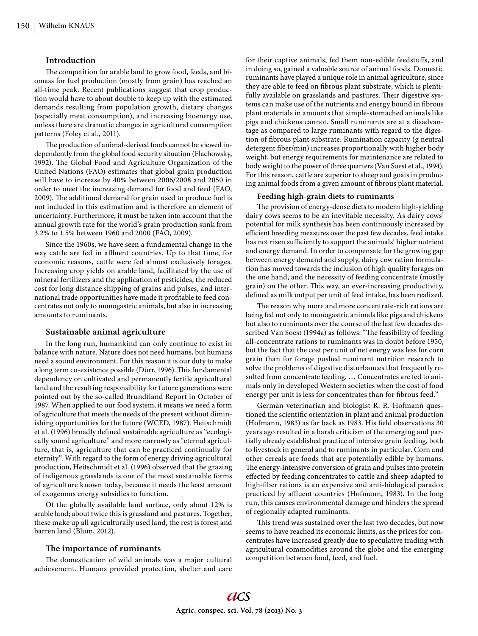# **Introduction**

The competition for arable land to grow food, feeds, and biomass for fuel production (mostly from grain) has reached an all-time peak. Recent publications suggest that crop production would have to about double to keep up with the estimated demands resulting from population growth, dietary changes (especially meat consumption), and increasing bioenergy use, unless there are dramatic changes in agricultural consumption patterns (Foley et al., 2011).

The production of animal-derived foods cannot be viewed independently from the global food security situation (Flachowsky, 1992). The Global Food and Agriculture Organization of the United Nations (FAO) estimates that global grain production will have to increase by 40% between 2006/2008 and 2050 in order to meet the increasing demand for food and feed (FAO, 2009). The additional demand for grain used to produce fuel is not included in this estimation and is therefore an element of uncertainty. Furthermore, it must be taken into account that the annual growth rate for the world's grain production sunk from 3.2% to 1.5% between 1960 and 2000 (FAO, 2009).

Since the 1960s, we have seen a fundamental change in the way cattle are fed in affluent countries. Up to that time, for economic reasons, cattle were fed almost exclusively forages. Increasing crop yields on arable land, facilitated by the use of mineral fertilizers and the application of pesticides, the reduced cost for long distance shipping of grains and pulses, and international trade opportunities have made it profitable to feed concentrates not only to monogastric animals, but also in increasing amounts to ruminants.

# **Sustainable animal agriculture**

In the long run, humankind can only continue to exist in balance with nature. Nature does not need humans, but humans need a sound environment. For this reason it is our duty to make a long term co-existence possible (Dürr, 1996). This fundamental dependency on cultivated and permanently fertile agricultural land and the resulting responsibility for future generations were pointed out by the so-called Brundtland Report in October of 1987. When applied to our food system, it means we need a form of agriculture that meets the needs of the present without diminishing opportunities for the future (WCED, 1987). Heitschmidt et al. (1996) broadly defined sustainable agriculture as "ecologically sound agriculture" and more narrowly as "eternal agriculture, that is, agriculture that can be practiced continually for eternity". With regard to the form of energy driving agricultural production, Heitschmidt et al. (1996) observed that the grazing of indigenous grasslands is one of the most sustainable forms of agriculture known today, because it needs the least amount of exogenous energy subsidies to function.

Of the globally available land surface, only about 12% is arable land; about twice this is grassland and pastures. Together, these make up all agriculturally used land, the rest is forest and barren land (Blum, 2012).

# The importance of ruminants

The domestication of wild animals was a major cultural achievement. Humans provided protection, shelter and care

for their captive animals, fed them non-edible feedstuffs, and in doing so, gained a valuable source of animal foods. Domestic ruminants have played a unique role in animal agriculture, since they are able to feed on fibrous plant substrate, which is plentifully available on grasslands and pastures. Their digestive systems can make use of the nutrients and energy bound in fibrous plant materials in amounts that simple-stomached animals like pigs and chickens cannot. Small ruminants are at a disadvantage as compared to large ruminants with regard to the digestion of fibrous plant substrate. Rumination capacity (g neutral detergent fiber/min) increases proportionally with higher body weight, but energy requirements for maintenance are related to body weight to the power of three quarters (Van Soest et al., 1994). For this reason, cattle are superior to sheep and goats in producing animal foods from a given amount of fibrous plant material.

#### **Feeding high-grain diets to ruminants**

The provision of energy-dense diets to modern high-yielding dairy cows seems to be an inevitable necessity. As dairy cows' potential for milk synthesis has been continuously increased by efficient breeding measures over the past few decades, feed intake has not risen sufficiently to support the animals' higher nutrient and energy demand. In order to compensate for the growing gap between energy demand and supply, dairy cow ration formulation has moved towards the inclusion of high quality forages on the one hand, and the necessity of feeding concentrate (mostly grain) on the other. This way, an ever-increasing productivity, defined as milk output per unit of feed intake, has been realized.

The reason why more and more concentrate-rich rations are being fed not only to monogastric animals like pigs and chickens but also to ruminants over the course of the last few decades described Van Soest (1994a) as follows: "The feasibility of feeding all-concentrate rations to ruminants was in doubt before 1950, but the fact that the cost per unit of net energy was less for corn grain than for forage pushed ruminant nutrition research to solve the problems of digestive disturbances that frequently resulted from concentrate feeding. … Concentrates are fed to animals only in developed Western societies when the cost of food energy per unit is less for concentrates than for fibrous feed."

German veterinarian and biologist R. R. Hofmann questioned the scientific orientation in plant and animal production (Hofmann, 1983) as far back as 1983. His field observations 30 years ago resulted in a harsh criticism of the emerging and partially already established practice of intensive grain feeding, both to livestock in general and to ruminants in particular. Corn and other cereals are foods that are potentially edible by humans. The energy-intensive conversion of grain and pulses into protein effected by feeding concentrates to cattle and sheep adapted to high-fiber rations is an expensive and anti-biological paradox practiced by affluent countries (Hofmann, 1983). In the long run, this causes environmental damage and hinders the spread of regionally adapted ruminants.

This trend was sustained over the last two decades, but now seems to have reached its economic limits, as the prices for concentrates have increased greatly due to speculative trading with agricultural commodities around the globe and the emerging competition between food, feed, and fuel.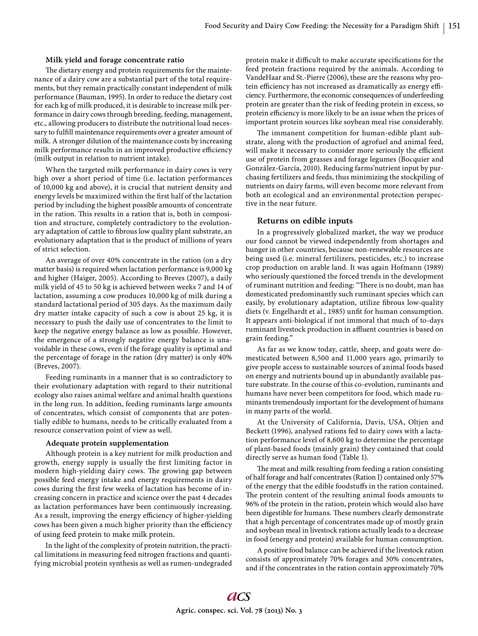#### **Milk yield and forage concentrate ratio**

The dietary energy and protein requirements for the maintenance of a dairy cow are a substantial part of the total requirements, but they remain practically constant independent of milk performance (Bauman, 1995). In order to reduce the dietary cost for each kg of milk produced, it is desirable to increase milk performance in dairy cows through breeding, feeding, management, etc., allowing producers to distribute the nutritional load necessary to fulfill maintenance requirements over a greater amount of milk. A stronger dilution of the maintenance costs by increasing milk performance results in an improved productive efficiency (milk output in relation to nutrient intake).

When the targeted milk performance in dairy cows is very high over a short period of time (i.e. lactation performances of 10,000 kg and above), it is crucial that nutrient density and energy levels be maximized within the first half of the lactation period by including the highest possible amounts of concentrate in the ration. This results in a ration that is, both in composition and structure, completely contradictory to the evolutionary adaptation of cattle to fibrous low quality plant substrate, an evolutionary adaptation that is the product of millions of years of strict selection.

An average of over 40% concentrate in the ration (on a dry matter basis) is required when lactation performance is 9,000 kg and higher (Haiger, 2005). According to Breves (2007), a daily milk yield of 45 to 50 kg is achieved between weeks 7 and 14 of lactation, assuming a cow produces 10,000 kg of milk during a standard lactational period of 305 days. As the maximum daily dry matter intake capacity of such a cow is about 25 kg, it is necessary to push the daily use of concentrates to the limit to keep the negative energy balance as low as possible. However, the emergence of a strongly negative energy balance is unavoidable in these cows, even if the forage quality is optimal and the percentage of forage in the ration (dry matter) is only 40% (Breves, 2007).

Feeding ruminants in a manner that is so contradictory to their evolutionary adaptation with regard to their nutritional ecology also raises animal welfare and animal health questions in the long run. In addition, feeding ruminants large amounts of concentrates, which consist of components that are potentially edible to humans, needs to be critically evaluated from a resource conservation point of view as well.

#### **Adequate protein supplementation**

Although protein is a key nutrient for milk production and growth, energy supply is usually the first limiting factor in modern high-yielding dairy cows. The growing gap between possible feed energy intake and energy requirements in dairy cows during the first few weeks of lactation has become of increasing concern in practice and science over the past 4 decades as lactation performances have been continuously increasing. As a result, improving the energy efficiency of higher-yielding cows has been given a much higher priority than the efficiency of using feed protein to make milk protein.

In the light of the complexity of protein nutrition, the practical limitations in measuring feed nitrogen fractions and quantifying microbial protein synthesis as well as rumen-undegraded protein make it difficult to make accurate specifications for the feed protein fractions required by the animals. According to VandeHaar and St.-Pierre (2006), these are the reasons why protein efficiency has not increased as dramatically as energy efficiency. Furthermore, the economic consequences of underfeeding protein are greater than the risk of feeding protein in excess, so protein efficiency is more likely to be an issue when the prices of important protein sources like soybean meal rise considerably.

The immanent competition for human-edible plant substrate, along with the production of agrofuel and animal feed, will make it necessary to consider more seriously the efficient use of protein from grasses and forage legumes (Bocquier and González-García, 2010). Reducing farms'nutrient input by purchasing fertilizers and feeds, thus minimizing the stockpiling of nutrients on dairy farms, will even become more relevant from both an ecological and an environmental protection perspective in the near future.

# **Returns on edible inputs**

In a progressively globalized market, the way we produce our food cannot be viewed independently from shortages and hunger in other countries, because non-renewable resources are being used (i.e. mineral fertilizers, pesticides, etc.) to increase crop production on arable land. It was again Hofmann (1989) who seriously questioned the forced trends in the development of ruminant nutrition and feeding: "There is no doubt, man has domesticated predominantly such ruminant species which can easily, by evolutionary adaptation, utilize fibrous low-quality diets (v. Engelhardt et al., 1985) unfit for human consumption. It appears anti-biological if not immoral that much of to-days ruminant livestock production in affluent countries is based on grain feeding."

As far as we know today, cattle, sheep, and goats were domesticated between 8,500 and 11,000 years ago, primarily to give people access to sustainable sources of animal foods based on energy and nutrients bound up in abundantly available pasture substrate. In the course of this co-evolution, ruminants and humans have never been competitors for food, which made ruminants tremendously important for the development of humans in many parts of the world.

At the University of California, Davis, USA, Oltjen and Beckett (1996), analysed rations fed to dairy cows with a lactation performance level of 8,600 kg to determine the percentage of plant-based foods (mainly grain) they contained that could directly serve as human food (Table 1).

The meat and milk resulting from feeding a ration consisting of half forage and half concentrates (Ration I) contained only 57% of the energy that the edible foodstuffs in the ration contained. The protein content of the resulting animal foods amounts to 96% of the protein in the ration, protein which would also have been digestible for humans. These numbers clearly demonstrate that a high percentage of concentrates made up of mostly grain and soybean meal in livestock rations actually leads to a decrease in food (energy and protein) available for human consumption.

A positive food balance can be achieved if the livestock ration consists of approximately 70% forages and 30% concentrates, and if the concentrates in the ration contain approximately 70%